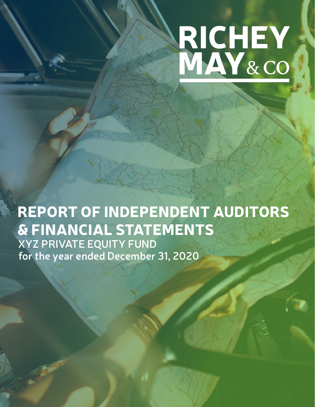# RICHEY<br>MAY&CO

# REPORT OF INDEPENDENT AUDITORS & FINANCIAL STATEMENTS **for the year ended December 31, 2020 XYZ PRIVATE EQUITY FUND**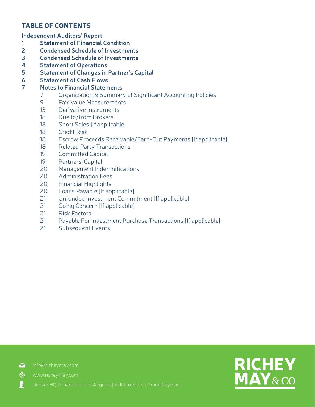# TABLE OF CONTENTS

**Independent Auditors' Report**

- **Statement of Financial Condition**
- **Condensed Schedule of Investments**
- **Condensed Schedule of Investments**
- **Statement of Operations**
- **Statement of Changes in Partner's Capital**
- **Statement of Cash Flows**

# **Notes to Financial Statements**

- Organization & Summary of Significant Accounting Policies
- Fair Value Measurements
- Derivative Instruments
- Due to/from Brokers
- Short Sales [If applicable]
- Credit Risk
- Escrow Proceeds Receivable/Earn-Out Payments [If applicable]
- Related Party Transactions
- Committed Capital
- Partners' Capital
- Management Indemnifications
- Administration Fees
- Financial Highlights
- Loans Payable [If applicable]
- Unfunded Investment Commitment [If applicable]
- Going Concern [If applicable]
- Risk Factors
- Payable For Investment Purchase Transactions [If applicable]
- Subsequent Events



**info@richeymay.com** 

 $\bigotimes$ 

凲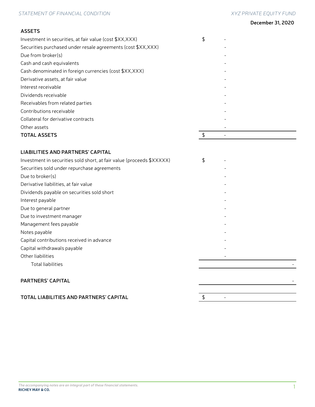## **ASSETS**

| \$ |
|----|
|    |
|    |
|    |
|    |
|    |
|    |
|    |
|    |
|    |
|    |
|    |
|    |
|    |

## **LIABILITIES AND PARTNERS' CAPITAL**

| Investment in securities sold short, at fair value (proceeds \$XXXXX) | \$ |  |
|-----------------------------------------------------------------------|----|--|
| Securities sold under repurchase agreements                           |    |  |
| Due to broker(s)                                                      |    |  |
| Derivative liabilities, at fair value                                 |    |  |
| Dividends payable on securities sold short                            |    |  |
| Interest payable                                                      |    |  |
| Due to general partner                                                |    |  |
| Due to investment manager                                             |    |  |
| Management fees payable                                               |    |  |
| Notes payable                                                         |    |  |
| Capital contributions received in advance                             |    |  |
| Capital withdrawals payable                                           |    |  |
| Other liabilities                                                     |    |  |
| <b>Total liabilities</b>                                              |    |  |
|                                                                       |    |  |
| <b>PARTNERS' CAPITAL</b>                                              |    |  |
|                                                                       |    |  |
| TOTAL LIABILITIES AND PARTNERS' CAPITAL                               | \$ |  |
|                                                                       |    |  |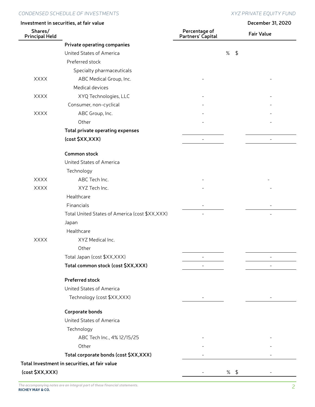### *Condensed Schedule of Investments XYZ PRIVATE EQUITY FUND*

|                                  | Investment in securities, at fair value        |                                    |                 | December 31, 2020 |
|----------------------------------|------------------------------------------------|------------------------------------|-----------------|-------------------|
| Shares/<br><b>Principal Held</b> |                                                | Percentage of<br>Partners' Capital |                 | <b>Fair Value</b> |
|                                  | <b>Private operating companies</b>             |                                    |                 |                   |
|                                  | United States of America                       | $\%$                               | $\updownarrow$  |                   |
|                                  | Preferred stock                                |                                    |                 |                   |
|                                  | Specialty pharmaceuticals                      |                                    |                 |                   |
| <b>XXXX</b>                      | ABC Medical Group, Inc.                        |                                    |                 |                   |
|                                  | Medical devices                                |                                    |                 |                   |
| <b>XXXX</b>                      | XYQ Technologies, LLC                          |                                    |                 |                   |
|                                  | Consumer, non-cyclical                         |                                    |                 |                   |
| <b>XXXX</b>                      | ABC Group, Inc.                                |                                    |                 |                   |
|                                  | Other                                          |                                    |                 |                   |
|                                  | Total private operating expenses               |                                    |                 |                   |
|                                  | (cost \$XX, XXX)                               | $\overline{a}$                     |                 |                   |
|                                  | <b>Common stock</b>                            |                                    |                 |                   |
|                                  | United States of America                       |                                    |                 |                   |
|                                  | Technology                                     |                                    |                 |                   |
| <b>XXXX</b>                      | ABC Tech Inc.                                  |                                    |                 |                   |
| <b>XXXX</b>                      | XYZ Tech Inc.                                  |                                    |                 |                   |
|                                  | Healthcare                                     |                                    |                 |                   |
|                                  | Financials                                     |                                    |                 |                   |
|                                  | Total United States of America (cost \$XX,XXX) |                                    |                 |                   |
|                                  | Japan                                          |                                    |                 |                   |
|                                  | Healthcare                                     |                                    |                 |                   |
| <b>XXXX</b>                      | XYZ Medical Inc.                               |                                    |                 |                   |
|                                  | Other                                          |                                    |                 |                   |
|                                  | Total Japan (cost \$XX, XXX)                   |                                    |                 |                   |
|                                  | Total common stock (cost \$XX, XXX)            |                                    |                 |                   |
|                                  | <b>Preferred stock</b>                         |                                    |                 |                   |
|                                  | United States of America                       |                                    |                 |                   |
|                                  | Technology (cost \$XX,XXX)                     | $\overline{\phantom{a}}$           |                 |                   |
|                                  | Corporate bonds                                |                                    |                 |                   |
|                                  | United States of America                       |                                    |                 |                   |
|                                  | Technology                                     |                                    |                 |                   |
|                                  | ABC Tech Inc., 4% 12/15/25                     |                                    |                 |                   |
|                                  | Other                                          |                                    |                 |                   |
|                                  | Total corporate bonds (cost \$XX, XXX)         |                                    |                 |                   |
|                                  | Total Investment in securities, at fair value  |                                    |                 |                   |
| (cost \$XX, XXX)                 |                                                |                                    | % $\frac{4}{3}$ |                   |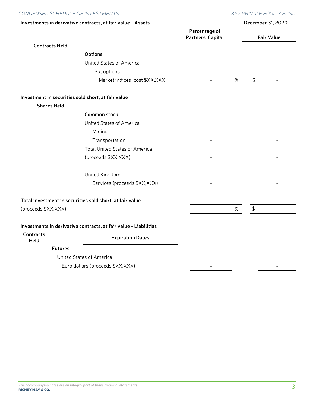*Condensed Schedule of Investments XYZ PRIVATE EQUITY FUND*

|                                                    | Investments in derivative contracts, at fair value - Assets      |                                    |      | December 31, 2020 |
|----------------------------------------------------|------------------------------------------------------------------|------------------------------------|------|-------------------|
|                                                    |                                                                  | Percentage of<br>Partners' Capital |      | <b>Fair Value</b> |
| <b>Contracts Held</b>                              |                                                                  |                                    |      |                   |
|                                                    | <b>Options</b>                                                   |                                    |      |                   |
|                                                    | United States of America                                         |                                    |      |                   |
|                                                    | Put options                                                      |                                    |      |                   |
|                                                    | Market indices (cost \$XX, XXX)                                  |                                    | $\%$ | \$                |
| Investment in securities sold short, at fair value |                                                                  |                                    |      |                   |
| <b>Shares Held</b>                                 |                                                                  |                                    |      |                   |
|                                                    | <b>Common stock</b>                                              |                                    |      |                   |
|                                                    | United States of America                                         |                                    |      |                   |
|                                                    | Mining                                                           |                                    |      |                   |
|                                                    | Transportation                                                   |                                    |      |                   |
|                                                    | <b>Total United States of America</b>                            |                                    |      |                   |
|                                                    | (proceeds \$XX, XXX)                                             |                                    |      |                   |
|                                                    | United Kingdom                                                   |                                    |      |                   |
|                                                    | Services (proceeds \$XX, XXX)                                    |                                    |      |                   |
|                                                    | Total investment in securities sold short, at fair value         |                                    |      |                   |
| (proceeds \$XX, XXX)                               |                                                                  |                                    | %    | \$<br>L.          |
|                                                    | Investments in derivative contracts, at fair value - Liabilities |                                    |      |                   |
| Contracts<br>Held                                  | <b>Expiration Dates</b>                                          |                                    |      |                   |
| <b>Futures</b>                                     |                                                                  |                                    |      |                   |
|                                                    | United States of America                                         |                                    |      |                   |
|                                                    | Euro dollars (proceeds \$XX, XXX)                                |                                    |      |                   |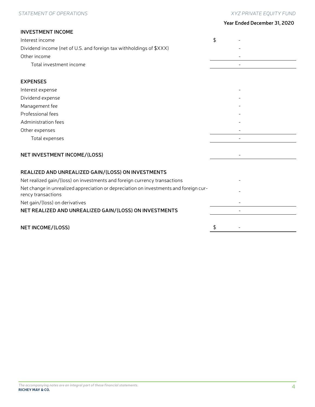### *Statement of Operations XYZ PRIVATE EQUITY FUND*

| Year Ended December 31, 2020 |  |  |  |
|------------------------------|--|--|--|
|------------------------------|--|--|--|

| <b>INVESTMENT INCOME</b>                                                                                    |    |  |
|-------------------------------------------------------------------------------------------------------------|----|--|
| Interest income                                                                                             | \$ |  |
| Dividend income (net of U.S. and foreign tax withholdings of \$XXX)                                         |    |  |
| Other income                                                                                                |    |  |
| Total investment income                                                                                     |    |  |
| <b>EXPENSES</b>                                                                                             |    |  |
| Interest expense                                                                                            |    |  |
| Dividend expense                                                                                            |    |  |
| Management fee                                                                                              |    |  |
| Professional fees                                                                                           |    |  |
| Administration fees                                                                                         |    |  |
| Other expenses                                                                                              |    |  |
| Total expenses                                                                                              |    |  |
| NET INVESTMENT INCOME/(LOSS)                                                                                |    |  |
| REALIZED AND UNREALIZED GAIN/(LOSS) ON INVESTMENTS                                                          |    |  |
| Net realized gain/(loss) on investments and foreign currency transactions                                   |    |  |
| Net change in unrealized appreciation or depreciation on investments and foreign cur-<br>rency transactions |    |  |
| Net gain/(loss) on derivatives                                                                              |    |  |
| NET REALIZED AND UNREALIZED GAIN/(LOSS) ON INVESTMENTS                                                      |    |  |
| <b>NET INCOME/(LOSS)</b>                                                                                    | \$ |  |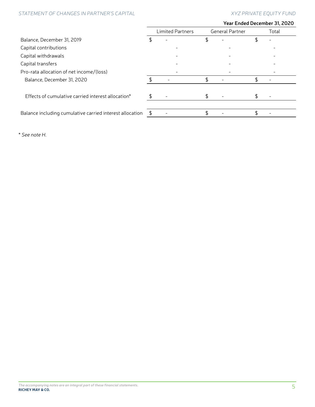# *Statement of Changes in Partner's Capital XYZ PRIVATE EQUITY FUND*

### **Year Ended December 31, 2020**

|                                                          |   | <b>Limited Partners</b> | <b>General Partner</b> | Total                    |
|----------------------------------------------------------|---|-------------------------|------------------------|--------------------------|
| Balance, December 31, 2019                               |   |                         | \$                     |                          |
| Capital contributions                                    |   |                         |                        |                          |
| Capital withdrawals                                      |   |                         |                        |                          |
| Capital transfers                                        |   |                         |                        |                          |
| Pro-rata allocation of net income/(loss)                 |   |                         |                        |                          |
| Balance, December 31, 2020                               |   |                         | \$                     | -                        |
|                                                          |   |                         |                        |                          |
| Effects of cumulative carried interest allocation*       |   |                         | \$                     | $\overline{\phantom{0}}$ |
|                                                          |   |                         |                        |                          |
| Balance including cumulative carried interest allocation | £ |                         |                        |                          |

*\* See note H.*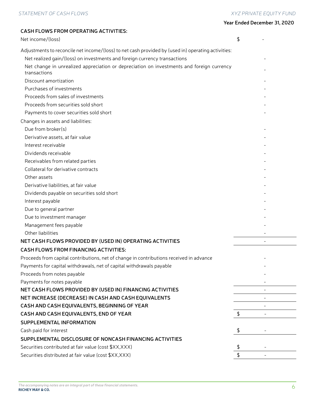| <b>CASH FLOWS FROM OPERATING ACTIVITIES:</b>                                                              |    |
|-----------------------------------------------------------------------------------------------------------|----|
| Net income/(loss)                                                                                         | \$ |
| Adjustments to reconcile net income/(loss) to net cash provided by (used in) operating activities:        |    |
| Net realized gain/(loss) on investments and foreign currency transactions                                 |    |
| Net change in unrealized appreciation or depreciation on investments and foreign currency<br>transactions |    |
| Discount amortization                                                                                     |    |
| Purchases of investments                                                                                  |    |
| Proceeds from sales of investments                                                                        |    |
| Proceeds from securities sold short                                                                       |    |
| Payments to cover securities sold short                                                                   |    |
| Changes in assets and liabilities:                                                                        |    |
| Due from broker(s)                                                                                        |    |
| Derivative assets, at fair value                                                                          |    |
| Interest receivable                                                                                       |    |
| Dividends receivable                                                                                      |    |
| Receivables from related parties                                                                          |    |
| Collateral for derivative contracts                                                                       |    |
| Other assets                                                                                              |    |
| Derivative liabilities, at fair value                                                                     |    |
| Dividends payable on securities sold short                                                                |    |
| Interest payable                                                                                          |    |
| Due to general partner                                                                                    |    |
| Due to investment manager                                                                                 |    |
| Management fees payable                                                                                   |    |
| Other liabilities                                                                                         |    |
| NET CASH FLOWS PROVIDED BY (USED IN) OPERATING ACTIVITIES                                                 |    |
| <b>CASH FLOWS FROM FINANCING ACTIVITIES:</b>                                                              |    |
| Proceeds from capital contributions, net of change in contributions received in advance                   |    |
| Payments for capital withdrawals, net of capital withdrawals payable                                      |    |
| Proceeds from notes payable                                                                               |    |
| Payments for notes payable                                                                                |    |
| NET CASH FLOWS PROVIDED BY (USED IN) FINANCING ACTIVITIES                                                 |    |
| NET INCREASE (DECREASE) IN CASH AND CASH EQUIVALENTS                                                      |    |
| CASH AND CASH EQUIVALENTS, BEGINNING OF YEAR                                                              |    |
| CASH AND CASH EQUIVALENTS, END OF YEAR                                                                    | \$ |
| SUPPLEMENTAL INFORMATION                                                                                  |    |
| Cash paid for interest                                                                                    | \$ |
| SUPPLEMENTAL DISCLOSURE OF NONCASH FINANCING ACTIVITIES                                                   |    |
| Securities contributed at fair value (cost \$XX, XXX)                                                     | \$ |
| Securities distributed at fair value (cost \$XX,XXX)                                                      | \$ |
|                                                                                                           |    |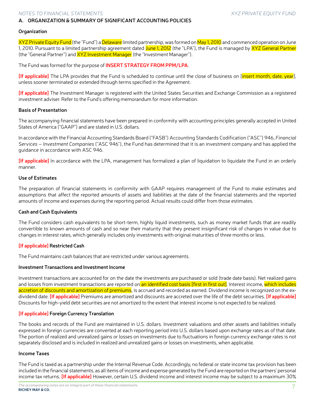### **A. ORGANIZATION & SUMMARY OF SIGNIFICANT ACCOUNTING POLICIES**

### **Organization**

XYZ Private Equity Fund (the "Fund") a Delaware limited partnership, was formed on May 1, 2010 and commenced operation on June 1, 2010. Pursuant to a limited partnership agreement dated June 1, 2012 (the "LPA"), the Fund is managed by XYZ General Partner (the "General Partner") and XYZ Investment Manager (the "Investment Manager").

The Fund was formed for the purpose of **INSERT STRATEGY FROM PPM/LPA**.

**[If applicable]** The LPA provides that the Fund is scheduled to continue until the close of business on [insert month, date, year], unless sooner terminated or extended through terms specified in the Agreement.

**[If applicable]** The Investment Manager is registered with the United States Securities and Exchange Commission as a registered investment adviser. Refer to the Fund's offering memorandum for more information.

### **Basis of Presentation**

The accompanying financial statements have been prepared in conformity with accounting principles generally accepted in United States of America ("GAAP") and are stated in U.S. dollars.

In accordance with the Financial Accounting Standards Board ("FASB") Accounting Standards Codification ("ASC") 946, *Financial Services – Investment Companies* ("ASC 946"), the Fund has determined that it is an investment company and has applied the guidance in accordance with ASC 946.

**[If applicable]** In accordance with the LPA, management has formalized a plan of liquidation to liquidate the Fund in an orderly manner.

### **Use of Estimates**

The preparation of financial statements in conformity with GAAP requires management of the Fund to make estimates and assumptions that affect the reported amounts of assets and liabilities at the date of the financial statements and the reported amounts of income and expenses during the reporting period. Actual results could differ from those estimates.

### **Cash and Cash Equivalents**

The Fund considers cash equivalents to be short-term, highly liquid investments, such as money market funds that are readily convertible to known amounts of cash and so near their maturity that they present insignificant risk of changes in value due to changes in interest rates, which generally includes only investments with original maturities of three months or less.

### **[If applicable] Restricted Cash**

The Fund maintains cash balances that are restricted under various agreements.

### **Investment Transactions and Investment Income**

Investment transactions are accounted for on the date the investments are purchased or sold (trade date basis). Net realized gains and losses from investment transactions are reported on an identified cost basis [first in first out]. Interest income, which includes accretion of discounts and amortization of premiums, is accrued and recorded as earned. Dividend income is recognized on the exdividend date. **[If applicable]** Premiums are amortized and discounts are accreted over the life of the debt securities. **[If applicable]** Discounts for high-yield debt securities are not amortized to the extent that interest income is not expected to be realized.

### **[If applicable] Foreign Currency Translation**

The books and records of the Fund are maintained in U.S. dollars. Investment valuations and other assets and liabilities initially expressed in foreign currencies are converted at each reporting period into U.S. dollars based upon exchange rates as of that date. The portion of realized and unrealized gains or losses on investments due to fluctuations in foreign currency exchange rates is not separately disclosed and is included in realized and unrealized gains or losses on investments, when applicable.

### **Income Taxes**

The Fund is taxed as a partnership under the Internal Revenue Code. Accordingly, no federal or state income tax provision has been included in the financial statements, as all items of income and expense generated by the Fund are reported on the partners' personal income tax returns. **[If applicable]** However, certain U.S. dividend income and interest income may be subject to a maximum 30%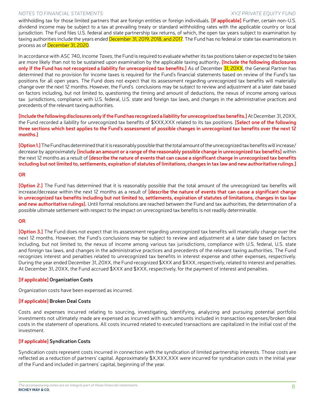withholding tax for those limited partners that are foreign entities or foreign individuals. **[If applicable]** Further, certain non-U.S. dividend income may be subject to a tax at prevailing treaty or standard withholding rates with the applicable country or local jurisdiction. The Fund files U.S. federal and state partnership tax returns, of which, the open tax years subject to examination by taxing authorities include the years ended December 31, 2019, 2018, and 2017. The Fund has no federal or state tax examinations in process as of December 31, 2020.

In accordance with ASC 740, *Income Taxes*, the Fund is required to evaluate whether its tax positions taken or expected to be taken are more likely than not to be sustained upon examination by the applicable taxing authority**. [Include the following disclosures only if the Fund has not recognized a liability for unrecognized tax benefits.]** As of December 31, 20XX, the General Partner has determined that no provision for income taxes is required for the Fund's financial statements based on review of the Fund's tax positions for all open years. The Fund does not expect that its assessment regarding unrecognized tax benefits will materially change over the next 12 months. However, the Fund's conclusions may be subject to review and adjustment at a later date based on factors including, but not limited to, questioning the timing and amount of deductions, the nexus of income among various tax jurisdictions, compliance with U.S. federal, U.S. state and foreign tax laws, and changes in the administrative practices and precedents of the relevant taxing authorities.

**[Include the following disclosures only if the Fund has recognized a liability for unrecognized tax benefits.]** At December 31, 20XX, the Fund recorded a liability for unrecognized tax benefits of \$XXX,XXX related to its tax positions. **[Select one of the following three sections which best applies to the Fund's assessment of possible changes in unrecognized tax benefits over the next 12 months.]**

**[Option 1.]**The Fund has determined that it is reasonably possible that the total amount of the unrecognized tax benefits will increase/ decrease by approximately **[include an amount or a range of the reasonably possible change in unrecognized tax benefits]** within the next 12 months as a result of **[describe the nature of events that can cause a significant change in unrecognized tax benefits including but not limited to, settlements, expiration of statutes of limitations, changes in tax law and new authoritative rulings.]**

### **OR**

**[Option 2.]** The Fund has determined that it is reasonably possible that the total amount of the unrecognized tax benefits will increase/decrease within the next 12 months as a result of **[describe the nature of events that can cause a significant change in unrecognized tax benefits including but not limited to, settlements, expiration of statutes of limitations, changes in tax law and new authoritative rulings].** Until formal resolutions are reached between the Fund and tax authorities, the determination of a possible ultimate settlement with respect to the impact on unrecognized tax benefits is not readily determinable.

### **OR**

**[Option 3.]** The Fund does not expect that its assessment regarding unrecognized tax benefits will materially change over the next 12 months. However, the Fund's conclusions may be subject to review and adjustment at a later date based on factors including, but not limited to, the nexus of income among various tax jurisdictions, compliance with U.S. federal, U.S. state and foreign tax laws, and changes in the administrative practices and precedents of the relevant taxing authorities. The Fund recognizes interest and penalties related to unrecognized tax benefits in interest expense and other expenses, respectively. During the year ended December 31, 20XX, the Fund recognized \$XXX and \$XXX, respectively, related to interest and penalties. At December 31, 20XX, the Fund accrued \$XXX and \$XXX, respectively, for the payment of interest and penalties.

### **[If applicable] Organization Costs**

Organization costs have been expensed as incurred.

### **[If applicable] Broken Deal Costs**

Costs and expenses incurred relating to sourcing, investigating, identifying, analyzing and pursuing potential portfolio investments not ultimately made are expensed as incurred with such amounts included in transaction expenses/broken deal costs in the statement of operations. All costs incurred related to executed transactions are capitalized in the initial cost of the investment.

### **[If applicable] Syndication Costs**

Syndication costs represent costs incurred in connection with the syndication of limited partnership interests. Those costs are reflected as a reduction of partners' capital. Approximately \$X,XXX,XXX were incurred for syndication costs in the initial year of the Fund and included in partners' capital, beginning of the year.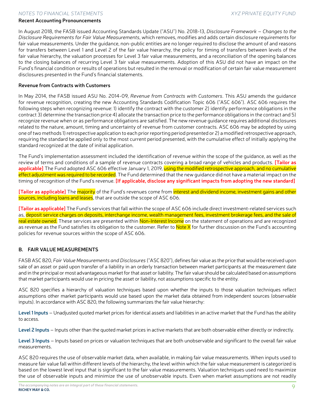### **Recent Accounting Pronouncements**

In August 2018, the FASB issued Accounting Standards Update ("ASU") No. 2018-13, *Disclosure Framework – Changes to the Disclosure Requirements for Fair Value Measurements*, which removes, modifies and adds certain disclosure requirements for fair value measurements. Under the guidance, non-public entities are no longer required to disclose the amount of and reasons for transfers between Level 1 and Level 2 of the fair value hierarchy, the policy for timing of transfers between levels of the fair value hierarchy, the valuation processes for Level 3 fair value measurements, and a reconciliation of the opening balances to the closing balances of recurring Level 3 fair value measurements. Adoption of this ASU did not have an impact on the Fund's financial condition or results of operations but resulted in the removal or modification of certain fair value measurement disclosures presented in the Fund's financial statements.

### **Revenue from Contracts with Customers**

In May 2014, the FASB issued ASU No. 2014-09, *Revenue from Contracts with Customers*. This ASU amends the guidance for revenue recognition, creating the new Accounting Standards Codification Topic 606 ("ASC 606"). ASC 606 requires the following steps when recognizing revenue: 1) identify the contract with the customer 2) identify performance obligations in the contract 3) determine the transaction price 4) allocate the transaction price to the performance obligations in the contract and 5) recognize revenue when or as performance obligations are satisfied. The new revenue guidance requires additional disclosures related to the nature, amount, timing and uncertainty of revenue from customer contracts. ASC 606 may be adopted by using one of two methods 1) retrospective application to each prior reporting period presented or 2) a modified retrospective approach, requiring the standard be applied only to the most current period presented, with the cumulative effect of initially applying the standard recognized at the date of initial application.

The Fund's implementation assessment included the identification of revenue within the scope of the guidance, as well as the review of terms and conditions of a sample of revenue contracts covering a broad range of vehicles and products. **[Tailor as applicable]** The Fund adopted ASC 606 effective January 1, 2019, using the modified retrospective approach, and no cumulative effect adjustment was required to be recorded. The Fund determined that the new quidance did not have a material impact on the timing of recognition of the Fund's revenue. **[If applicable, disclose any significant impacts from adopting the new standard]**

**[Tailor as applicable]** The majority of the Fund's revenues come from interest and dividend income, investment gains and other sources, including loans and leases, that are outside the scope of ASC 606.

**[Tailor as applicable]** The Fund's services that fall within the scope of ASC 606 include direct investment-related services such as, deposit service charges on deposits, interchange income, wealth management fees, investment brokerage fees, and the sale of real estate owned. These services are presented within Non-Interest Income on the statement of operations and are recognized as revenue as the Fund satisfies its obligation to the customer. Refer to **Note X** for further discussion on the Fund's accounting policies for revenue sources within the scope of ASC 606.

### **B. FAIR VALUE MEASUREMENTS**

FASB ASC 820, *Fair Value Measurements and Disclosures* ("ASC 820"), defines fair value as the price that would be received upon sale of an asset or paid upon transfer of a liability in an orderly transaction between market participants at the measurement date and in the principal or most advantageous market for that asset or liability. The fair value should be calculated based on assumptions that market participants would use in pricing the asset or liability, not assumptions specific to the entity.

ASC 820 specifies a hierarchy of valuation techniques based upon whether the inputs to those valuation techniques reflect assumptions other market participants would use based upon the market data obtained from independent sources (observable inputs). In accordance with ASC 820, the following summarizes the fair value hierarchy:

**Level 1 Inputs** – Unadjusted quoted market prices for identical assets and liabilities in an active market that the Fund has the ability to access.

**Level 2 Inputs** – Inputs other than the quoted market prices in active markets that are both observable either directly or indirectly.

**Level 3 Inputs** – Inputs based on prices or valuation techniques that are both unobservable and significant to the overall fair value measurements.

ASC 820 requires the use of observable market data, when available, in making fair value measurements. When inputs used to measure fair value fall within different levels of the hierarchy, the level within which the fair value measurement is categorized is based on the lowest level input that is significant to the fair value measurements. Valuation techniques used need to maximize the use of observable inputs and minimize the use of unobservable inputs. Even when market assumptions are not readily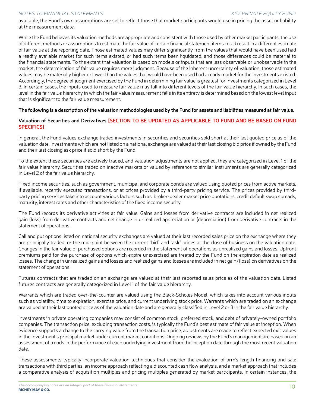available, the Fund's own assumptions are set to reflect those that market participants would use in pricing the asset or liability at the measurement date.

While the Fund believes its valuation methods are appropriate and consistent with those used by other market participants, the use of different methods or assumptions to estimate the fair value of certain financial statement items could result in a different estimate of fair value at the reporting date. Those estimated values may differ significantly from the values that would have been used had a readily available market for such items existed, or had such items been liquidated, and those differences could be material to the financial statements. To the extent that valuation is based on models or inputs that are less observable or unobservable in the market, the determination of fair value requires more judgment. Because of the inherent uncertainty of valuation, those estimated values may be materially higher or lower than the values that would have been used had a ready market for the investments existed. Accordingly, the degree of judgment exercised by the Fund in determining fair value is greatest for investments categorized in Level 3. In certain cases, the inputs used to measure fair value may fall into different levels of the fair value hierarchy. In such cases, the level in the fair value hierarchy in which the fair value measurement falls in its entirety is determined based on the lowest level input that is significant to the fair value measurement.

### **The following is a description of the valuation methodologies used by the Fund for assets and liabilities measured at fair value.**

### **Valuation of Securities and Derivatives [SECTION TO BE UPDATED AS APPLICABLE TO FUND AND BE BASED ON FUND SPECIFICS]**

In general, the Fund values exchange traded investments in securities and securities sold short at their last quoted price as of the valuation date. Investments which are not listed on a national exchange are valued at their last closing bid price if owned by the Fund and their last closing ask price if sold short by the Fund.

To the extent these securities are actively traded, and valuation adjustments are not applied, they are categorized in Level 1 of the fair value hierarchy. Securities traded on inactive markets or valued by reference to similar instruments are generally categorized in Level 2 of the fair value hierarchy.

Fixed income securities, such as government, municipal and corporate bonds are valued using quoted prices from active markets, if available, recently executed transactions, or at prices provided by a third-party pricing service. The prices provided by thirdparty pricing services take into account various factors such as, broker-dealer market price quotations, credit default swap spreads, maturity, interest rates and other characteristics of the fixed income security.

The Fund records its derivative activities at fair value. Gains and losses from derivative contracts are included in net realized gain (loss) from derivative contracts and net change in unrealized appreciation or (depreciation) from derivative contracts in the statement of operations.

Call and put options listed on national security exchanges are valued at their last recorded sales price on the exchange where they are principally traded, or the mid-point between the current "bid" and "ask" prices at the close of business on the valuation date. Changes in the fair value of purchased options are recorded in the statement of operations as unrealized gains and losses. Upfront premiums paid for the purchase of options which expire unexercised are treated by the Fund on the expiration date as realized losses. The change in unrealized gains and losses and realized gains and losses are included in net gain/(loss) on derivatives on the statement of operations.

Futures contracts that are traded on an exchange are valued at their last reported sales price as of the valuation date. Listed futures contracts are generally categorized in Level 1 of the fair value hierarchy.

Warrants which are traded over-the-counter are valued using the Black-Scholes Model, which takes into account various inputs such as volatility, time to expiration, exercise price, and current underlying stock price. Warrants which are traded on an exchange are valued at their last quoted price as of the valuation date and are generally classified in Level 2 or 3 in the fair value hierarchy.

Investments in private operating companies may consist of common stock, preferred stock, and debt of privately-owned portfolio companies. The transaction price, excluding transaction costs, is typically the Fund's best estimate of fair value at inception. When evidence supports a change to the carrying value from the transaction price, adjustments are made to reflect expected exit values in the investment's principal market under current market conditions. Ongoing reviews by the Fund's management are based on an assessment of trends in the performance of each underlying investment from the inception date through the most recent valuation date.

These assessments typically incorporate valuation techniques that consider the evaluation of arm's-length financing and sale transactions with third parties, an income approach reflecting a discounted cash flow analysis, and a market approach that includes a comparative analysis of acquisition multiples and pricing multiples generated by market participants. In certain instances, the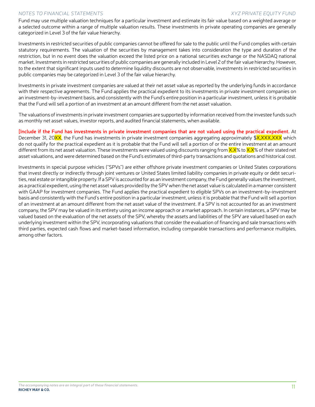Fund may use multiple valuation techniques for a particular investment and estimate its fair value based on a weighted average or a selected outcome within a range of multiple valuation results. These investments in private operating companies are generally categorized in Level 3 of the fair value hierarchy.

Investments in restricted securities of public companies cannot be offered for sale to the public until the Fund complies with certain statutory requirements. The valuation of the securities by management takes into consideration the type and duration of the restriction, but in no event does the valuation exceed the listed price on a national securities exchange or the NASDAQ national market. Investments in restricted securities of public companies are generally included in Level 2 of the fair value hierarchy. However, to the extent that significant inputs used to determine liquidity discounts are not observable, investments in restricted securities in public companies may be categorized in Level 3 of the fair value hierarchy.

Investments in private investment companies are valued at their net asset value as reported by the underlying funds in accordance with their respective agreements. The Fund applies the practical expedient to its investments in private investment companies on an investment-by-investment basis, and consistently with the Fund's entire position in a particular investment, unless it is probable that the Fund will sell a portion of an investment at an amount different from the net asset valuation.

The valuations of investments in private investment companies are supported by information received from the investee funds such as monthly net asset values, investor reports, and audited financial statements, when available.

**[Include if the Fund has investments in private investment companies that are not valued using the practical expedient.** At December 31, 20 $XX$ , the Fund has investments in private investment companies aggregating approximately  $X,XX,XXX$  which do not qualify for the practical expedient as it is probable that the Fund will sell a portion of or the entire investment at an amount different from its net asset valuation. These investments were valued using discounts ranging from X.X% to X.X% of their stated net asset valuations, and were determined based on the Fund's estimates of third-party transactions and quotations and historical cost.

Investments in special purpose vehicles ("SPVs") are either offshore private investment companies or United States corporations that invest directly or indirectly through joint ventures or United States limited liability companies in private equity or debt securities, real estate or intangible property. If a SPV is accounted for as an investment company, the Fund generally values the investment, as a practical expedient, using the net asset values provided by the SPV when the net asset value is calculated in a manner consistent with GAAP for investment companies. The Fund applies the practical expedient to eligible SPVs on an investment-by-investment basis and consistently with the Fund's entire position in a particular investment, unless it is probable that the Fund will sell a portion of an investment at an amount different from the net asset value of the investment. If a SPV is not accounted for as an investment company, the SPV may be valued in its entirety using an income approach or a market approach. In certain instances, a SPV may be valued based on the evaluation of the net assets of the SPV, whereby the assets and liabilities of the SPV are valued based on each underlying investment within the SPV, incorporating valuations that consider the evaluation of financing and sale transactions with third parties, expected cash flows and market-based information, including comparable transactions and performance multiples, among other factors.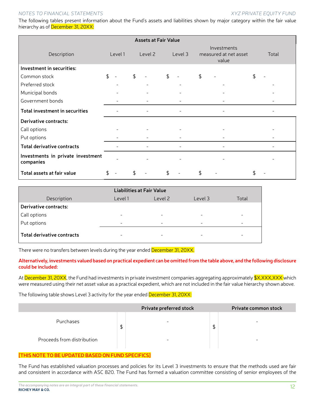The following tables present information about the Fund's assets and liabilities shown by major category within the fair value hierarchy as of December 31, 20XX:

| <b>Assets at Fair Value</b>                    |                |         |    |         |    |                          |                                               |       |
|------------------------------------------------|----------------|---------|----|---------|----|--------------------------|-----------------------------------------------|-------|
| Description                                    |                | Level 1 |    | Level 2 |    | Level 3                  | Investments<br>measured at net asset<br>value | Total |
| Investment in securities:                      |                |         |    |         |    |                          |                                               |       |
| Common stock                                   | $\updownarrow$ |         | \$ |         | \$ | $\overline{\phantom{m}}$ | \$                                            | \$    |
| Preferred stock                                |                |         |    |         |    |                          |                                               |       |
| Municipal bonds                                |                |         |    |         |    |                          |                                               |       |
| Government bonds                               |                |         |    |         |    |                          |                                               |       |
| Total investment in securities                 |                |         |    |         |    |                          | $\overline{\phantom{a}}$                      |       |
| Derivative contracts:                          |                |         |    |         |    |                          |                                               |       |
| Call options                                   |                |         |    |         |    |                          |                                               |       |
| Put options                                    |                |         |    |         |    |                          |                                               |       |
| <b>Total derivative contracts</b>              |                |         |    |         |    |                          | -                                             |       |
| Investments in private investment<br>companies |                |         |    |         |    |                          |                                               |       |
| Total assets at fair value                     | \$             |         | \$ |         | \$ |                          | \$                                            |       |

|                              | <b>Liabilities at Fair Value</b> |         |         |       |  |  |  |  |
|------------------------------|----------------------------------|---------|---------|-------|--|--|--|--|
| Description                  | Level 1                          | Level 2 | Level 3 | Total |  |  |  |  |
| <b>Derivative contracts:</b> |                                  |         |         |       |  |  |  |  |
| Call options                 | -                                | -       | -       | -     |  |  |  |  |
| Put options                  | $\qquad \qquad$                  | -       | -       | -     |  |  |  |  |
| Total derivative contracts   | -                                | -       | -       |       |  |  |  |  |

There were no transfers between levels during the year ended December 31, 20XX.

**Alternatively, investments valued based on practical expedient can be omitted from the table above, and the following disclosure could be included:**

At December 31, 20XX, the Fund had investments in private investment companies aggregating approximately \$X,XXX,XXX which were measured using their net asset value as a practical expedient, which are not included in the fair value hierarchy shown above.

The following table shows Level 3 activity for the year ended December 31, 20XX:

|                            | Private preferred stock        |   | <b>Private common stock</b> |
|----------------------------|--------------------------------|---|-----------------------------|
| Purchases                  | \$<br>$\overline{\phantom{0}}$ | D | $\qquad \qquad$             |
| Proceeds from distribution | $\overline{\phantom{0}}$       |   | $\overline{\phantom{0}}$    |

### **[THIS NOTE TO BE UPDATED BASED ON FUND SPECIFICS]**

The Fund has established valuation processes and policies for its Level 3 investments to ensure that the methods used are fair and consistent in accordance with ASC 820. The Fund has formed a valuation committee consisting of senior employees of the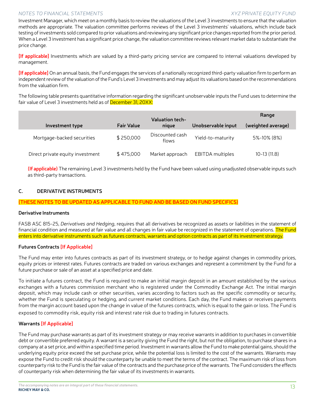Investment Manager, which meet on a monthly basis to review the valuations of the Level 3 investments to ensure that the valuation methods are appropriate. The valuation committee performs reviews of the Level 3 investments' valuations, which include back testing of investments sold compared to prior valuations and reviewing any significant price changes reported from the prior period. When a Level 3 investment has a significant price change, the valuation committee reviews relevant market data to substantiate the price change.

**[If applicable]** Investments which are valued by a third-party pricing service are compared to internal valuations developed by management.

**[If applicable]**On an annual basis, the Fund engages the services of a nationally recognized third-party valuation firm to perform an independent review of the valuation of the Fund's Level 3 investments and may adjust its valuations based on the recommendations from the valuation firm.

The following table presents quantitative information regarding the significant unobservable inputs the Fund uses to determine the fair value of Level 3 investments held as of December 31, 20XX:

|                                  |                   | Valuation tech-          |                         | Range              |  |
|----------------------------------|-------------------|--------------------------|-------------------------|--------------------|--|
| Investment type                  | <b>Fair Value</b> | nique                    | Unobservable input      | (weighted average) |  |
| Mortgage-backed securities       | \$250,000         | Discounted cash<br>flows | Yield-to-maturity       | 5%-10% (8%)        |  |
| Direct private equity investment | \$475,000         | Market approach          | <b>EBITDA</b> multiples | $10-13(11.8)$      |  |

**(If applicable)** The remaining Level 3 investments held by the Fund have been valued using unadjusted observable inputs such as third-party transactions.

### **C. DERIVATIVE INSTRUMENTS**

### **(THESE NOTES TO BE UPDATED AS APPLICABLE TO FUND AND BE BASED ON FUND SPECIFICS)**

### **Derivative Instruments**

FASB ASC 815-25, *Derivatives and Hedging*, requires that all derivatives be recognized as assets or liabilities in the statement of financial condition and measured at fair value and all changes in fair value be recognized in the statement of operations. The Fund enters into derivative instruments such as futures contracts, warrants and option contracts as part of its investment strategy.

### **Futures Contracts [If Applicable]**

The Fund may enter into futures contracts as part of its investment strategy, or to hedge against changes in commodity prices, equity prices or interest rates. Futures contracts are traded on various exchanges and represent a commitment by the Fund for a future purchase or sale of an asset at a specified price and date.

To initiate a futures contract, the Fund is required to make an initial margin deposit in an amount established by the various exchanges with a futures commission merchant who is registered under the Commodity Exchange Act. The initial margin deposit, which may include cash or other securities, varies according to factors such as the specific commodity or security, whether the Fund is speculating or hedging, and current market conditions. Each day, the Fund makes or receives payments from the margin account based upon the change in value of the futures contracts, which is equal to the gain or loss. The Fund is exposed to commodity risk, equity risk and interest rate risk due to trading in futures contracts.

### **Warrants [If Applicable]**

The Fund may purchase warrants as part of its investment strategy or may receive warrants in addition to purchases in convertible debt or convertible preferred equity. A warrant is a security giving the Fund the right, but not the obligation, to purchase shares in a company at a set price, and within a specified time period. Investment in warrants allow the Fund to make potential gains, should the underlying equity price exceed the set purchase price, while the potential loss is limited to the cost of the warrants. Warrants may expose the Fund to credit risk should the counterparty be unable to meet the terms of the contract. The maximum risk of loss from counterparty risk to the Fund is the fair value of the contracts and the purchase price of the warrants. The Fund considers the effects of counterparty risk when determining the fair value of its investments in warrants.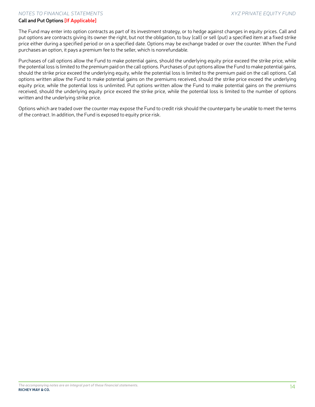### **Call and Put Options [If Applicable]**

The Fund may enter into option contracts as part of its investment strategy, or to hedge against changes in equity prices. Call and put options are contracts giving its owner the right, but not the obligation, to buy (call) or sell (put) a specified item at a fixed strike price either during a specified period or on a specified date. Options may be exchange traded or over the counter. When the Fund purchases an option, it pays a premium fee to the seller, which is nonrefundable.

Purchases of call options allow the Fund to make potential gains, should the underlying equity price exceed the strike price, while the potential loss is limited to the premium paid on the call options. Purchases of put options allow the Fund to make potential gains, should the strike price exceed the underlying equity, while the potential loss is limited to the premium paid on the call options. Call options written allow the Fund to make potential gains on the premiums received, should the strike price exceed the underlying equity price, while the potential loss is unlimited. Put options written allow the Fund to make potential gains on the premiums received, should the underlying equity price exceed the strike price, while the potential loss is limited to the number of options written and the underlying strike price.

Options which are traded over the counter may expose the Fund to credit risk should the counterparty be unable to meet the terms of the contract. In addition, the Fund is exposed to equity price risk.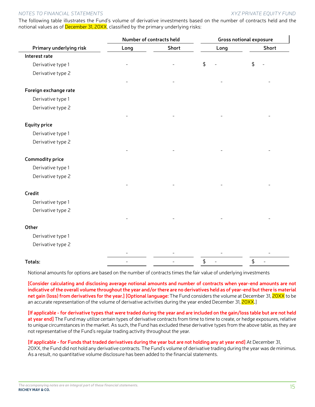The following table illustrates the Fund's volume of derivative investments based on the number of contracts held and the notional values as of December 31, 20XX, classified by the primary underlying risks:

|                         |                          | Number of contracts held |                                     | <b>Gross notional exposure</b> |
|-------------------------|--------------------------|--------------------------|-------------------------------------|--------------------------------|
| Primary underlying risk | Long                     | <b>Short</b>             | Long                                | Short                          |
| Interest rate           |                          |                          |                                     |                                |
| Derivative type 1       | $\overline{\phantom{0}}$ |                          | \$                                  | $\updownarrow$                 |
| Derivative type 2       |                          |                          |                                     |                                |
|                         |                          |                          |                                     |                                |
| Foreign exchange rate   |                          |                          |                                     |                                |
| Derivative type 1       |                          |                          |                                     |                                |
| Derivative type 2       |                          |                          |                                     |                                |
|                         |                          |                          |                                     |                                |
| <b>Equity price</b>     |                          |                          |                                     |                                |
| Derivative type 1       |                          |                          |                                     |                                |
| Derivative type 2       |                          |                          |                                     |                                |
|                         |                          |                          |                                     |                                |
| <b>Commodity price</b>  |                          |                          |                                     |                                |
| Derivative type 1       |                          |                          |                                     |                                |
| Derivative type 2       |                          |                          |                                     |                                |
|                         |                          |                          |                                     |                                |
| <b>Credit</b>           |                          |                          |                                     |                                |
| Derivative type 1       |                          |                          |                                     |                                |
| Derivative type 2       |                          |                          |                                     |                                |
|                         |                          |                          |                                     |                                |
| Other                   |                          |                          |                                     |                                |
| Derivative type 1       |                          |                          |                                     |                                |
| Derivative type 2       |                          |                          |                                     |                                |
|                         |                          |                          |                                     |                                |
| Totals:                 | ٠                        |                          | $\ddot{\text{C}}$<br>$\overline{a}$ | \$                             |

Notional amounts for options are based on the number of contracts times the fair value of underlying investments

**[Consider calculating and disclosing average notional amounts and number of contracts when year-end amounts are not indicative of the overall volume throughout the year and/or there are no derivatives held as of year-end but there is material net gain (loss) from derivatives for the year.][Optional language:** The Fund considers the volume at December 31, 20XX to be an accurate representation of the volume of derivative activities during the year ended December 31, 20XX**.**]

**[If applicable - for derivative types that were traded during the year and are included on the gain/loss table but are not held**  at year end] The Fund may utilize certain types of derivative contracts from time to time to create, or hedge exposures, relative to unique circumstances in the market. As such, the Fund has excluded these derivative types from the above table, as they are not representative of the Fund's regular trading activity throughout the year.

### **[If applicable - for Funds that traded derivatives during the year but are not holding any at year end]** At December 31,

20XX, the Fund did not hold any derivative contracts. The Fund's volume of derivative trading during the year was de minimus. As a result, no quantitative volume disclosure has been added to the financial statements.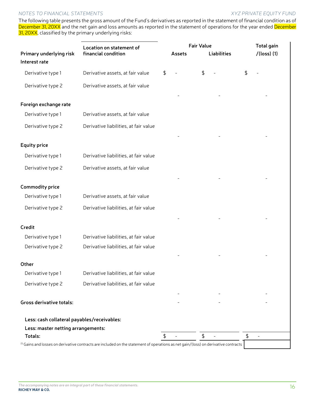The following table presents the gross amount of the Fund's derivatives as reported in the statement of financial condition as of December 31, 20XX and the net gain and loss amounts as reported in the statement of operations for the year ended December 31, 20XX, classified by the primary underlying risks: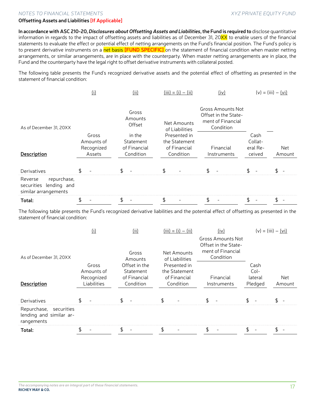### **Offsetting Assets and Liabilities [If Applicable]**

**In accordance with ASC 210-20,** *Disclosures about Offsetting Assets and Liabilities***, the Fund is required to** disclose quantitative information in regards to the impact of offsetting assets and liabilities as of December 31, 20 $X$  to enable users of the financial statements to evaluate the effect or potential effect of netting arrangements on the Fund's financial position. The Fund's policy is to present derivative instruments on a net basis **[FUND SPECIFIC]** on the statement of financial condition when master netting arrangements, or similar arrangements, are in place with the counterparty. When master netting arrangements are in place, the Fund and the counterparty have the legal right to offset derivative instruments with collateral posted.

The following table presents the Fund's recognized derivative assets and the potential effect of offsetting as presented in the statement of financial condition:

|                                                                             | <u>(i)</u>                        | (ii)                                | $(iii) = (i) - (ii)$                          | (iv)                                                                               |                             | $(v) = (iii) - (vi)$ |
|-----------------------------------------------------------------------------|-----------------------------------|-------------------------------------|-----------------------------------------------|------------------------------------------------------------------------------------|-----------------------------|----------------------|
| As of December 31, 20XX                                                     |                                   | Gross<br>Amounts<br>Offset          | Net Amounts<br>of Liabilities                 | <b>Gross Amounts Not</b><br>Offset in the State-<br>ment of Financial<br>Condition |                             |                      |
|                                                                             | Gross<br>Amounts of<br>Recognized | in the<br>Statement<br>of Financial | Presented in<br>the Statement<br>of Financial | Financial                                                                          | Cash<br>Collat-<br>eral Re- | Net                  |
| <b>Description</b>                                                          | Assets                            | Condition                           | Condition                                     | <b>Instruments</b>                                                                 | ceived                      | Amount               |
| Derivatives                                                                 |                                   |                                     |                                               | ፍ                                                                                  |                             |                      |
| repurchase,<br>Reverse<br>lending and<br>securities<br>similar arrangements |                                   |                                     |                                               |                                                                                    |                             |                      |
| Total:                                                                      | S                                 | \$.                                 | £.                                            | S                                                                                  | \$                          |                      |

The following table presents the Fund's recognized derivative liabilities and the potential effect of offsetting as presented in the statement of financial condition:

|                                                                 | (i)                               | (i)                                        | $(iii) = (i) - (ii)$                          | (iv)                                                                               | $(v) = (iii) - (vi)$      |        |
|-----------------------------------------------------------------|-----------------------------------|--------------------------------------------|-----------------------------------------------|------------------------------------------------------------------------------------|---------------------------|--------|
| As of December 31, 20XX                                         |                                   | Gross<br>Amounts                           | Net Amounts<br>of Liabilities                 | <b>Gross Amounts Not</b><br>Offset in the State-<br>ment of Financial<br>Condition |                           |        |
|                                                                 | Gross<br>Amounts of<br>Recognized | Offset in the<br>Statement<br>of Financial | Presented in<br>the Statement<br>of Financial | Financial                                                                          | Cash<br>$Col-$<br>lateral | Net    |
| <b>Description</b>                                              | Liabilities                       | Condition                                  | Condition                                     | <b>Instruments</b>                                                                 | Pledged                   | Amount |
| Derivatives                                                     |                                   |                                            |                                               |                                                                                    |                           |        |
| Repurchase, securities<br>lending and similar ar-<br>rangements |                                   |                                            |                                               |                                                                                    |                           |        |
| Total:                                                          |                                   |                                            |                                               |                                                                                    |                           |        |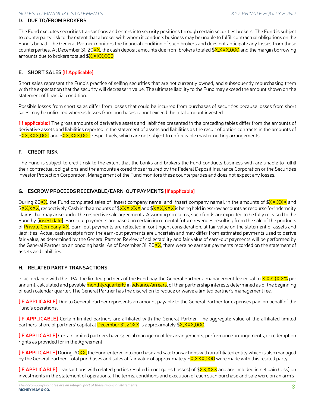### **D. DUE TO/FROM BROKERS**

The Fund executes securities transactions and enters into security positions through certain securities brokers. The Fund is subject to counterparty risk to the extent that a broker with whom it conducts business may be unable to fulfill contractual obligations on the Fund's behalf. The General Partner monitors the financial condition of such brokers and does not anticipate any losses from these counterparties. At December 31, 20 $XX$ , the cash deposit amounts due from brokers totaled  $X,XXX,000$  and the margin borrowing amounts due to brokers totaled \$X,XXX,000.

### **E. SHORT SALES [If Applicable]**

Short sales represent the Fund's practice of selling securities that are not currently owned, and subsequently repurchasing them with the expectation that the security will decrease in value. The ultimate liability to the Fund may exceed the amount shown on the statement of financial condition.

Possible losses from short sales differ from losses that could be incurred from purchases of securities because losses from short sales may be unlimited whereas losses from purchases cannot exceed the total amount invested.

**[If applicable:]** The gross amounts of derivative assets and liabilities presented in the preceding tables differ from the amounts of derivative assets and liabilities reported in the statement of assets and liabilities as the result of option contracts in the amounts of \$XX,XXX,000 and \$XX,XXX,000 respectively, which are not subject to enforceable master netting arrangements.

### **F. CREDIT RISK**

The Fund is subject to credit risk to the extent that the banks and brokers the Fund conducts business with are unable to fulfill their contractual obligations and the amounts exceed those insured by the Federal Deposit Insurance Corporation or the Securities Investor Protection Corporation. Management of the Fund monitors these counterparties and does not expect any losses.

### **G. ESCROW PROCEEDS RECEIVABLE/EARN-OUT PAYMENTS [If applicable]**

During 20XX, the Fund completed sales of [insert company name] and [insert company name], in the amounts of \$XX,XXX and \$XX,XXX, respectively. Cash in the amounts of \$XXX,XXX and \$XXX,XXX is being held in escrow accounts as recourse for indemnity claims that may arise under the respective sale agreements. Assuming no claims, such funds are expected to be fully released to the Fund by [insert date]. Earn-out payments are based on certain incremental future revenues resulting from the sale of the products of Private Company XX. Earn-out payments are reflected in contingent consideration, at fair value on the statement of assets and liabilities. Actual cash receipts from the earn-out payments are uncertain and may differ from estimated payments used to derive fair value, as determined by the General Partner. Review of collectability and fair value of earn-out payments will be performed by the General Partner on an ongoing basis. As of December 31, 20<mark>XX</mark>, there were no earnout payments recorded on the statement of assets and liabilities.

### **H. RELATED PARTY TRANSACTIONS**

In accordance with the LPA, the limited partners of the Fund pay the General Partner a management fee equal to X.X% (X.X% per annum), calculated and payable monthly/quarterly in advance/arrears, of their partnership interests determined as of the beginning of each calendar quarter. The General Partner has the discretion to reduce or waive a limited partner's management fee.

**[IF APPLICABLE]** Due to General Partner represents an amount payable to the General Partner for expenses paid on behalf of the Fund's operations.

**[IF APPLICABLE]** Certain limited partners are affiliated with the General Partner. The aggregate value of the affiliated limited partners' share of partners' capital at December 31, 20XX is approximately \$X,XXX,000.

**[IF APPLICABLE]** Certain limited partners have special management fee arrangements, performance arrangements, or redemption rights as provided for in the Agreement.

**[IF APPLICABLE]**During 20XX, the Fund entered into purchase and sale transactions with an affiliated entity which is also managed by the General Partner. Total purchases and sales at fair value of approximately \$X,XXX,000 were made with this related party.

**[IF APPLICABLE]** Transactions with related parties resulted in net gains (losses) of \$XX,XXX and are included in net gain (loss) on investments in the statement of operations. The terms, conditions and execution of each such purchase and sale were on an arm's-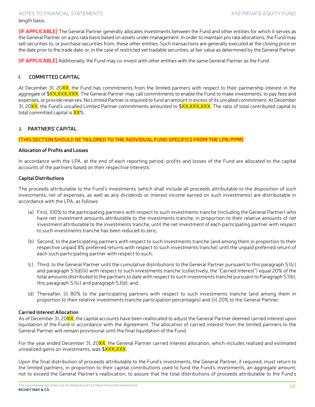*Notes to Financial Statements XYZ PRIVATE EQUITY FUND* length basis.

**[IF APPLICABLE]** The General Partner generally allocates investments between the Fund and other entities for which it serves as the General Partner on a pro rata basis based on assets under management. In order to maintain pro rata allocations, the Fund may sell securities to, or purchase securities from, these other entities. Such transactions are generally executed at the closing price on the date prior to the trade date, or, in the case of restricted yet tradable securities, at fair value as determined by the General Partner.

**[IF APPLICABLE]** Additionally, the Fund may co-invest with other entities with the same General Partner as the Fund.

### **I. COMMITTED CAPITAL**

At December 31, 20XX, the Fund has commitments from the limited partners with respect to their partnership interest in the aggregate of \$XX,XXX,XXX. The General Partner may call commitments to enable the Fund to make investments, to pay fees and expenses, or provide reserves. No Limited Partner is required to fund an amount in excess of its uncalled commitment. At December 31, 20XX, the Fund's uncalled Limited Partner commitments amounted to \$XX,XXX,XXX. The ratio of total contributed capital to total committed capital is XX%.

### **J. PARTNERS' CAPITAL**

### **[THIS SECTION SHOULD BE TAILORED TO THE INDIVIDUAL FUND SPECIFICS FROM THE LPA/PPM]**

### **Allocation of Profits and Losses**

In accordance with the LPA, at the end of each reporting period, profits and losses of the Fund are allocated to the capital accounts of the partners based on their respective interests.

### **Capital Distributions**

The proceeds attributable to the Fund's investments (which shall include all proceeds attributable to the disposition of such investments, net of expenses, as well as any dividends or interest income earned on such investments) are distributable in accordance with the LPA, as follows:

- (a) First, 100% to the participating partners with respect to such investments tranche (including the General Partner) who have net investment amounts attributable to the investments tranche, in proportion to their relative amounts of net investment attributable to the investments tranche, until the net investment of each participating partner with respect to such investments tranche has been reduced to zero;
- (b) Second, to the participating partners with respect to such investments tranche (and among them in proportion to their respective unpaid 8% preferred returns with respect to such investments tranche) until the unpaid preferred return of each such participating partner with respect to such;
- (c) Third, to the General Partner until the cumulative distributions to the General Partner pursuant to this paragraph 5.1(c) and paragraph 5.1(d)(ii) with respect to such investments tranche (collectively, the "Carried Interest") equal 20% of the total amounts distributed to the partners to date with respect to such investments tranche pursuant to Paragraph 5.1(b), this paragraph 5.1(c) and paragraph 5.1(d); and
- (d) Thereafter, (i) 80% to the participating partners with respect to such investments tranche (and among them in proportion to their relative investments tranche participation percentages) and (ii) 20% to the General Partner.

### **Carried Interest Allocation**

As of December 31, 20XX, the capital accounts have been reallocated to adjust the General Partner deemed carried interest upon liquidation of the Fund in accordance with the Agreement. The allocation of carried interest from the limited partners to the General Partner will remain provisional until the final liquidation of the Fund.

For the year ended December 31, 20XX, the General Partner carried interest allocation, which includes realized and estimated unrealized gains on investments, was \$XXX, XXX.

Upon the final distribution of proceeds attributable to the Fund's investments, the General Partner, if required, must return to the limited partners, in proportion to their capital contributions used to fund the Fund's investments, an aggregate amount, not to exceed the General Partner's reallocation, to assure that the total distributions of proceeds attributable to the Fund's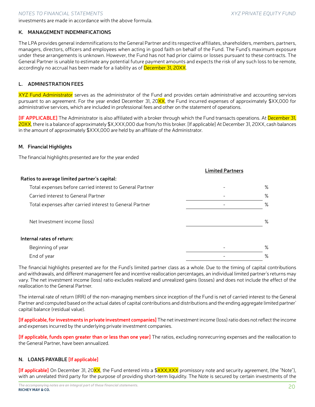investments are made in accordance with the above formula.

### **K. MANAGEMENT INDEMNIFICATIONS**

The LPA provides general indemnifications to the General Partner and its respective affiliates, shareholders, members, partners, managers, directors, officers and employees when acting in good faith on behalf of the Fund. The Fund's maximum exposure under these arrangements is unknown. However, the Fund has not had prior claims or losses pursuant to these contracts. The General Partner is unable to estimate any potential future payment amounts and expects the risk of any such loss to be remote, accordingly no accrual has been made for a liability as of <mark>December 31, 20XX</mark>.

### **L. ADMINISTRATION FEES**

XYZ Fund Administrator serves as the administrator of the Fund and provides certain administrative and accounting services pursuant to an agreement. For the year ended December 31, 20XX, the Fund incurred expenses of approximately \$XX,000 for administrative services, which are included in professional fees and other on the statement of operations.

**[IF APPLICABLE]** The Administrator is also affiliated with a broker through which the Fund transacts operations. At December 31, 20XX, there is a balance of approximately \$X,XXX,000 due from/to this broker. [If applicable] At December 31, 20XX, cash balances in the amount of approximately \$XXX,000 are held by an affiliate of the Administrator.

### **M. Financial Highlights**

The financial highlights presented are for the year ended

|                                                           | <b>Limited Partners</b> |      |
|-----------------------------------------------------------|-------------------------|------|
| Ratios to average limited partner's capital:              |                         |      |
| Total expenses before carried interest to General Partner |                         | %    |
| Carried interest to General Partner                       |                         | $\%$ |
| Total expenses after carried interest to General Partner  |                         | $\%$ |
| Net Investment income (loss)                              |                         | %    |
| Internal rates of return:                                 |                         |      |
| Beginning of year                                         |                         | $\%$ |
| End of year                                               |                         | $\%$ |

The financial highlights presented are for the Fund's limited partner class as a whole. Due to the timing of capital contributions and withdrawals, and different management fee and incentive reallocation percentages, an individual limited partner's returns may vary. The net investment income (loss) ratio excludes realized and unrealized gains (losses) and does not include the effect of the reallocation to the General Partner.

The internal rate of return (IRR) of the non-managing members since inception of the Fund is net of carried interest to the General Partner and computed based on the actual dates of capital contributions and distributions and the ending aggregate limited partner' capital balance (residual value).

**[If applicable, for investments in private investment companies]**The net investment income (loss) ratio does not reflect the income and expenses incurred by the underlying private investment companies.

**[If applicable, funds open greater than or less than one year]** The ratios, excluding nonrecurring expenses and the reallocation to the General Partner, have been annualized.

### **N. LOANS PAYABLE [If applicable]**

**[If applicable]** On December 31, 20XX, the Fund entered into a  $\frac{3XXX,XXX}{2}$  promissory note and security agreement, (the "Note"), with an unrelated third party for the purpose of providing short-term liquidity. The Note is secured by certain investments of the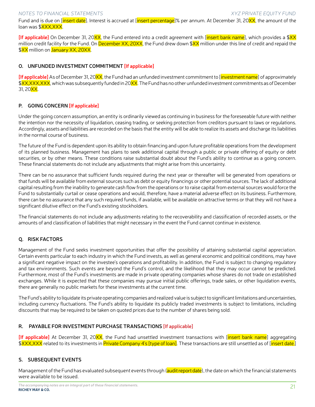Fund and is due on [insert date]. Interest is accrued at [insert percentage]% per annum. At December 31, 20XX, the amount of the loan was \$XXX,XXX.

**[If applicable]** On December 31, 20XX, the Fund entered into a credit agreement with [insert bank name], which provides a \$XX million credit facility for the Fund. On December XX, 20XX, the Fund drew down  $XX$  million under this line of credit and repaid the \$XX million on January XX, 20XX.

### **O. UNFUNDED INVESTMENT COMMITMENT [If applicable]**

**[If applicable]** As of December 31, 20XX, the Fund had an unfunded investment commitment to [investment name] of approximately \$XX,XXX,XXX, which was subsequently funded in 20XX. The Fund has no other unfunded investment commitments as of December 31, 20XX.

### **P. GOING CONCERN [If applicable]**

Under the going concern assumption, an entity is ordinarily viewed as continuing in business for the foreseeable future with neither the intention nor the necessity of liquidation, ceasing trading, or seeking protection from creditors pursuant to laws or regulations. Accordingly, assets and liabilities are recorded on the basis that the entity will be able to realize its assets and discharge its liabilities in the normal course of business.

The future of the Fund is dependent upon its ability to obtain financing and upon future profitable operations from the development of its planned business. Management has plans to seek additional capital through a public or private offering of equity or debt securities, or by other means. These conditions raise substantial doubt about the Fund's ability to continue as a going concern. These financial statements do not include any adjustments that might arise from this uncertainty.

There can be no assurance that sufficient funds required during the next year or thereafter will be generated from operations or that funds will be available from external sources such as debt or equity financings or other potential sources. The lack of additional capital resulting from the inability to generate cash flow from the operations or to raise capital from external sources would force the Fund to substantially curtail or cease operations and would, therefore, have a material adverse effect on its business. Furthermore, there can be no assurance that any such required funds, if available, will be available on attractive terms or that they will not have a significant dilutive effect on the Fund's existing stockholders.

The financial statements do not include any adjustments relating to the recoverability and classification of recorded assets, or the amounts of and classification of liabilities that might necessary in the event the Fund cannot continue in existence.

# **Q. RISK FACTORS**

Management of the Fund seeks investment opportunities that offer the possibility of attaining substantial capital appreciation. Certain events particular to each industry in which the Fund invests, as well as general economic and political conditions, may have a significant negative impact on the investee's operations and profitability. In addition, the Fund is subject to changing regulatory and tax environments. Such events are beyond the Fund's control, and the likelihood that they may occur cannot be predicted. Furthermore, most of the Fund's investments are made in private operating companies whose shares do not trade on established exchanges. While it is expected that these companies may pursue initial public offerings, trade sales, or other liquidation events, there are generally no public markets for these investments at the current time.

The Fund's ability to liquidate its private operating companies and realized value is subject to significant limitations and uncertainties, including currency fluctuations. The Fund's ability to liquidate its publicly traded investments is subject to limitations, including discounts that may be required to be taken on quoted prices due to the number of shares being sold.

### **R. PAYABLE FOR INVESTMENT PURCHASE TRANSACTIONS [If applicable]**

**[If applicable]** At December 31, 20XX, the Fund had unsettled investment transactions with [insert bank name] aggregating \$<mark>XXX,XXX</mark> related to its investments in <mark>Private Company 4's [type of loan]</mark>. These transactions are still unsettled as of [<mark>insert date.</mark>]

### **S. SUBSEQUENT EVENTS**

Management of the Fund has evaluated subsequent events through (audit report date), the date on which the financial statements were available to be issued.